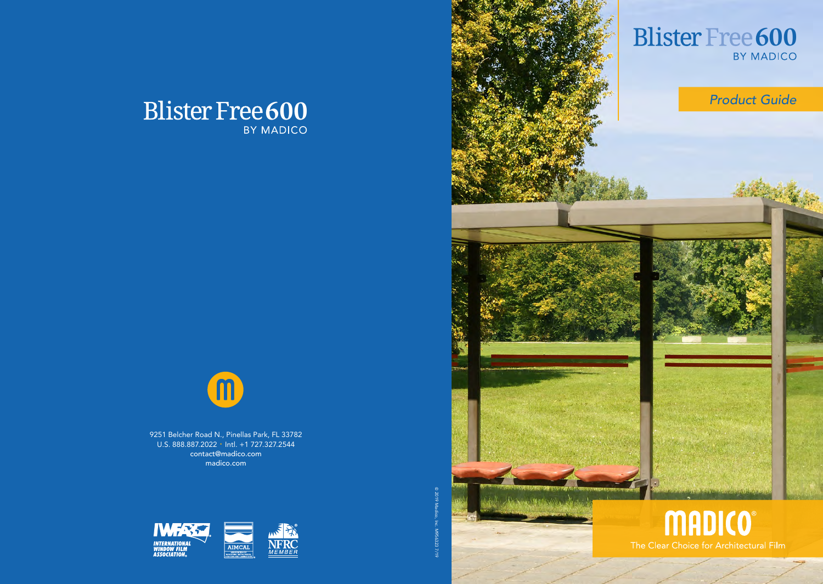



9251 Belcher Road N., Pinellas Park, FL 33782 U.S. 888.887.2022 • Intl. +1 727.327.2544 contact@madico.com madico.com





2019 Madico, Inc. M956323 7/19

 $_{\odot}$